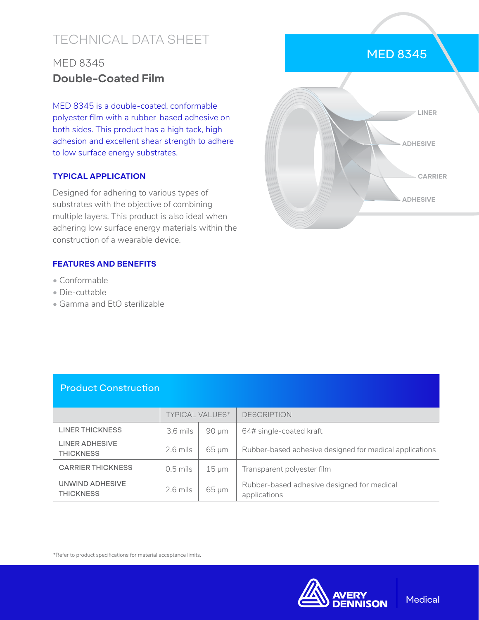# TECHNICAL DATA SHEET

## MED 8345 **Double-Coated Film**

MED 8345 is a double-coated, conformable polyester film with a rubber-based adhesive on both sides. This product has a high tack, high adhesion and excellent shear strength to adhere to low surface energy substrates.

#### **TYPICAL APPLICATION**

Designed for adhering to various types of substrates with the objective of combining multiple layers. This product is also ideal when adhering low surface energy materials within the construction of a wearable device.

#### **FEATURES AND BENEFITS**

- Conformable
- Die-cuttable
- Gamma and EtO sterilizable



### Product Construction

|                                     | <b>TYPICAL VALUES*</b> |            | <b>DESCRIPTION</b>                                         |
|-------------------------------------|------------------------|------------|------------------------------------------------------------|
| <b>LINER THICKNESS</b>              | $3.6$ mils             | $90 \mu m$ | 64# single-coated kraft                                    |
| LINER ADHESIVE<br><b>THICKNESS</b>  | $2.6$ mils             | $65 \mu m$ | Rubber-based adhesive designed for medical applications    |
| <b>CARRIER THICKNESS</b>            | $0.5$ mils             | $15 \mu m$ | Transparent polyester film                                 |
| UNWIND ADHESIVE<br><b>THICKNESS</b> | $2.6$ mils             | $65 \mu m$ | Rubber-based adhesive designed for medical<br>applications |